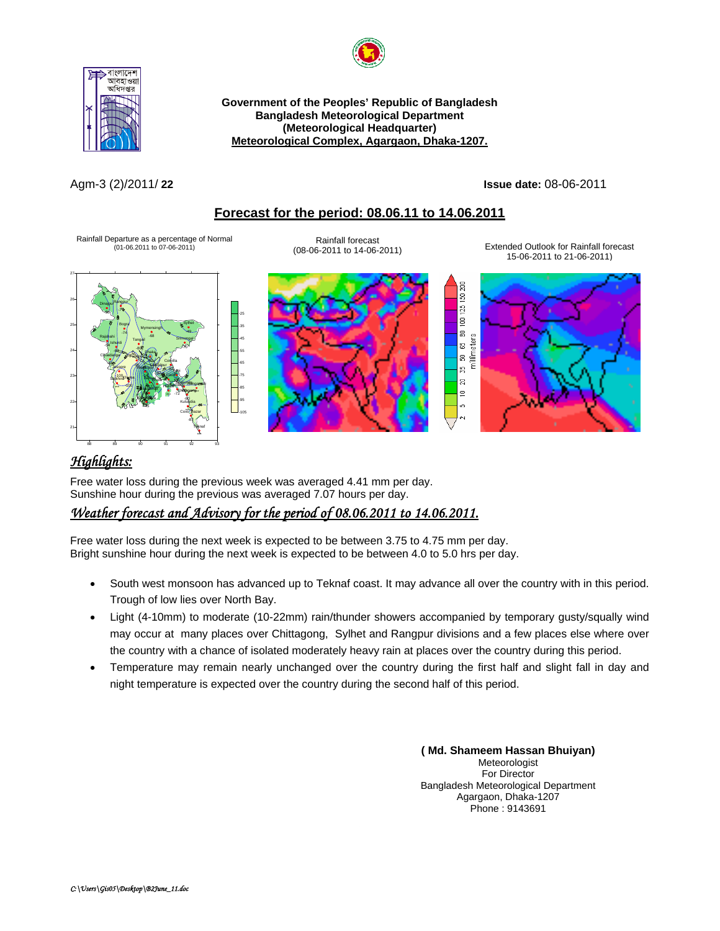



**Government of the Peoples' Republic of Bangladesh Bangladesh Meteorological Department (Meteorological Headquarter)**  <sup>U</sup>**Meteorological Complex, Agargaon, Dhaka-1207.**

Agm-3 (2)/2011/ **22 Issue date:** 08-06-2011

## <sup>U</sup>**Forecast for the period: 08.06.11 to 14.06.2011**

Rainfall Departure as a percentage of Normal (01-06.2011 to 07-06-2011)



(08-06-2011 to 14-06-2011) Extended Outlook for Rainfall forecast 15-06-2011 to 21-06-2011)







# *Highlights:*

Free water loss during the previous week was averaged 4.41 mm per day. Sunshine hour during the previous was averaged 7.07 hours per day.

# <sup>U</sup>*Weather forecast and Advisory for the period of 08.06.2011 to 14.06.2011.*

Free water loss during the next week is expected to be between 3.75 to 4.75 mm per day. Bright sunshine hour during the next week is expected to be between 4.0 to 5.0 hrs per day.

- South west monsoon has advanced up to Teknaf coast. It may advance all over the country with in this period. Trough of low lies over North Bay.
- Light (4-10mm) to moderate (10-22mm) rain/thunder showers accompanied by temporary gusty/squally wind may occur at many places over Chittagong, Sylhet and Rangpur divisions and a few places else where over the country with a chance of isolated moderately heavy rain at places over the country during this period.
- Temperature may remain nearly unchanged over the country during the first half and slight fall in day and night temperature is expected over the country during the second half of this period.

**( Md. Shameem Hassan Bhuiyan)** Meteorologist For Director Bangladesh Meteorological Department Agargaon, Dhaka-1207 Phone : 9143691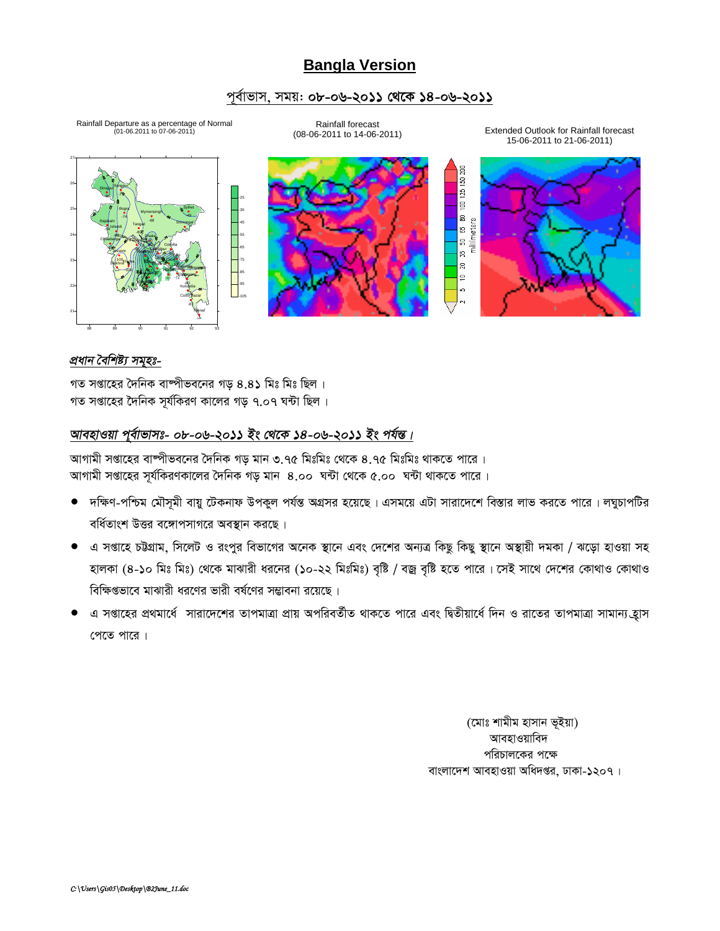# **Bangla Version**

### পূর্বাভাস, সময়: ০৮-০৬-২০১১ থেকে ১৪-০৬-২০১১



গত সপ্তাহের দৈনিক বাষ্পীভবনের গড় ৪.৪১ মিঃ মিঃ ছিল । গত সপ্তাহের দৈনিক সূর্যকিরণ কালের গড় ৭.০৭ ঘন্টা ছিল।

## আবহাওয়া পূর্বাভাসঃ- ০৮-০৬-২০১১ ইং থেকে ১৪-০৬-২০১১ ইং পর্যন্ত।

আগামী সপ্তাহের বাষ্পীভবনের দৈনিক গড় মান ৩.৭৫ মিঃমিঃ থেকে ৪.৭৫ মিঃমিঃ থাকতে পারে । আগামী সপ্তাহের সূর্যকিরণকালের দৈনিক গড় মান 8.০০ ঘন্টা থেকে ৫.০০ ঘন্টা থাকতে পারে ।

- দক্ষিণ-পশ্চিম মৌসমী বায়ু টেকনাফ উপকূল পর্যন্ত অগ্রসর হয়েছে। এসময়ে এটা সারাদেশে বিস্তার লাভ করতে পারে। লঘুচাপটির বর্ধিতাংশ উত্তর বঙ্গোপসাগরে অবস্থান করছে।
- এ সপ্তাহে চউগ্রাম, সিলেট ও রংপুর বিভাগের অনেক স্থানে এবং দেশের অন্যত্র কিছু কিছু স্থানে অস্থায়ী দমকা / ঝড়ো হাওয়া সহ হালকা (৪-১০ মিঃ মিঃ) থেকে মাঝারী ধরনের (১০-২২ মিঃমিঃ) বৃষ্টি / বজ্র বৃষ্টি হতে পারে। সেই সাথে দেশের কোথাও কোথাও বিক্ষিপ্তভাবে মাঝারী ধরণের ভারী বর্ষণের সম্ভাবনা রয়েছে।
- এ সপ্তাহের প্রথমার্ধে সারাদেশের তাপমাত্রা প্রায় অপরিবর্তীত থাকতে পারে এবং দ্বিতীয়ার্ধে দিন ও রাতের তাপমাত্রা সামান্য হ্রাস পেতে পারে।

(মোঃ শামীম হাসান ভূইয়া) আবহাওয়াবিদ পরিচালকের পক্ষে বাংলাদেশ আবহাওয়া অধিদপ্তর, ঢাকা-১২০৭।